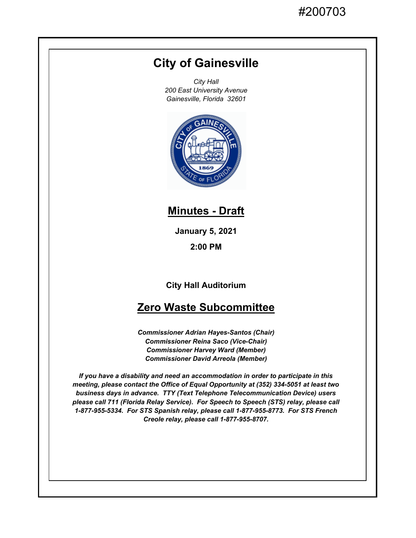# **City of Gainesville**

*City Hall 200 East University Avenue Gainesville, Florida 32601*



## **Minutes - Draft**

**January 5, 2021**

**2:00 PM**

**City Hall Auditorium**

## **Zero Waste Subcommittee**

*Commissioner Adrian Hayes-Santos (Chair) Commissioner Reina Saco (Vice-Chair) Commissioner Harvey Ward (Member) Commissioner David Arreola (Member)*

*If you have a disability and need an accommodation in order to participate in this meeting, please contact the Office of Equal Opportunity at (352) 334-5051 at least two business days in advance. TTY (Text Telephone Telecommunication Device) users please call 711 (Florida Relay Service). For Speech to Speech (STS) relay, please call 1-877-955-5334. For STS Spanish relay, please call 1-877-955-8773. For STS French Creole relay, please call 1-877-955-8707.*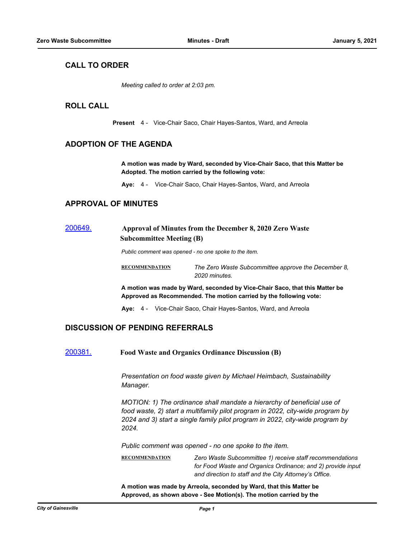## **CALL TO ORDER**

*Meeting called to order at 2:03 pm.*

### **ROLL CALL**

**Present** 4 - Vice-Chair Saco, Chair Hayes-Santos, Ward, and Arreola

#### **ADOPTION OF THE AGENDA**

**A motion was made by Ward, seconded by Vice-Chair Saco, that this Matter be Adopted. The motion carried by the following vote:**

**Aye:** 4 - Vice-Chair Saco, Chair Hayes-Santos, Ward, and Arreola

#### **APPROVAL OF MINUTES**

## [200649.](http://gainesville.legistar.com/gateway.aspx?m=l&id=/matter.aspx?key=32192) **Approval of Minutes from the December 8, 2020 Zero Waste Subcommittee Meeting (B)**

*Public comment was opened - no one spoke to the item.*

**RECOMMENDATION** *The Zero Waste Subcommittee approve the December 8, 2020 minutes.*

**A motion was made by Ward, seconded by Vice-Chair Saco, that this Matter be Approved as Recommended. The motion carried by the following vote:**

**Aye:** 4 - Vice-Chair Saco, Chair Hayes-Santos, Ward, and Arreola

#### **DISCUSSION OF PENDING REFERRALS**

[200381.](http://gainesville.legistar.com/gateway.aspx?m=l&id=/matter.aspx?key=31924) **Food Waste and Organics Ordinance Discussion (B)** 

*Presentation on food waste given by Michael Heimbach, Sustainability Manager.*

*MOTION: 1) The ordinance shall mandate a hierarchy of beneficial use of food waste, 2) start a multifamily pilot program in 2022, city-wide program by 2024 and 3) start a single family pilot program in 2022, city-wide program by 2024.*

*Public comment was opened - no one spoke to the item.*

**RECOMMENDATION** *Zero Waste Subcommittee 1) receive staff recommendations for Food Waste and Organics Ordinance; and 2) provide input and direction to staff and the City Attorney's Office.*

**A motion was made by Arreola, seconded by Ward, that this Matter be Approved, as shown above - See Motion(s). The motion carried by the**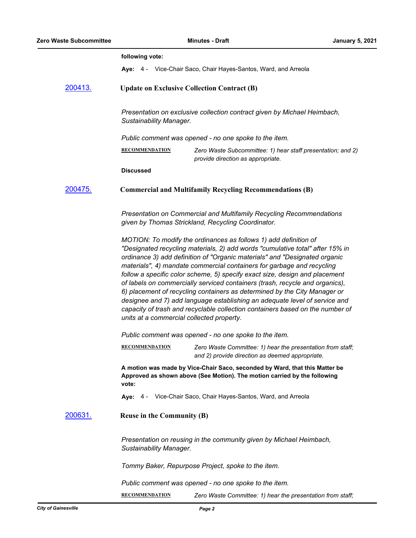|                 | following vote:                                                                                                                                                                                                                                                                                                                                                                                                                                                                                                                                                                                                                                                                                                                                                   |
|-----------------|-------------------------------------------------------------------------------------------------------------------------------------------------------------------------------------------------------------------------------------------------------------------------------------------------------------------------------------------------------------------------------------------------------------------------------------------------------------------------------------------------------------------------------------------------------------------------------------------------------------------------------------------------------------------------------------------------------------------------------------------------------------------|
|                 | Aye: 4 - Vice-Chair Saco, Chair Hayes-Santos, Ward, and Arreola                                                                                                                                                                                                                                                                                                                                                                                                                                                                                                                                                                                                                                                                                                   |
| <u>200413.</u>  | <b>Update on Exclusive Collection Contract (B)</b>                                                                                                                                                                                                                                                                                                                                                                                                                                                                                                                                                                                                                                                                                                                |
|                 | Presentation on exclusive collection contract given by Michael Heimbach,<br>Sustainability Manager.                                                                                                                                                                                                                                                                                                                                                                                                                                                                                                                                                                                                                                                               |
|                 | Public comment was opened - no one spoke to the item.                                                                                                                                                                                                                                                                                                                                                                                                                                                                                                                                                                                                                                                                                                             |
|                 | <b>RECOMMENDATION</b><br>Zero Waste Subcommittee: 1) hear staff presentation; and 2)<br>provide direction as appropriate.                                                                                                                                                                                                                                                                                                                                                                                                                                                                                                                                                                                                                                         |
|                 | <b>Discussed</b>                                                                                                                                                                                                                                                                                                                                                                                                                                                                                                                                                                                                                                                                                                                                                  |
| <u>200475.</u>  | <b>Commercial and Multifamily Recycling Recommendations (B)</b>                                                                                                                                                                                                                                                                                                                                                                                                                                                                                                                                                                                                                                                                                                   |
|                 | Presentation on Commercial and Multifamily Recycling Recommendations<br>given by Thomas Strickland, Recycling Coordinator.                                                                                                                                                                                                                                                                                                                                                                                                                                                                                                                                                                                                                                        |
|                 | MOTION: To modify the ordinances as follows 1) add definition of<br>"Designated recycling materials, 2) add words "cumulative total" after 15% in<br>ordinance 3) add definition of "Organic materials" and "Designated organic<br>materials", 4) mandate commercial containers for garbage and recycling<br>follow a specific color scheme, 5) specify exact size, design and placement<br>of labels on commercially serviced containers (trash, recycle and organics),<br>6) placement of recycling containers as determined by the City Manager or<br>designee and 7) add language establishing an adequate level of service and<br>capacity of trash and recyclable collection containers based on the number of<br>units at a commercial collected property. |
|                 | Public comment was opened - no one spoke to the item.                                                                                                                                                                                                                                                                                                                                                                                                                                                                                                                                                                                                                                                                                                             |
|                 | <b>RECOMMENDATION</b><br>Zero Waste Committee: 1) hear the presentation from staff;<br>and 2) provide direction as deemed appropriate.                                                                                                                                                                                                                                                                                                                                                                                                                                                                                                                                                                                                                            |
|                 | A motion was made by Vice-Chair Saco, seconded by Ward, that this Matter be<br>Approved as shown above (See Motion). The motion carried by the following<br>vote:                                                                                                                                                                                                                                                                                                                                                                                                                                                                                                                                                                                                 |
|                 | Aye: 4 - Vice-Chair Saco, Chair Hayes-Santos, Ward, and Arreola                                                                                                                                                                                                                                                                                                                                                                                                                                                                                                                                                                                                                                                                                                   |
| <u> 200631.</u> | <b>Reuse in the Community (B)</b>                                                                                                                                                                                                                                                                                                                                                                                                                                                                                                                                                                                                                                                                                                                                 |
|                 | Presentation on reusing in the community given by Michael Heimbach,<br>Sustainability Manager.                                                                                                                                                                                                                                                                                                                                                                                                                                                                                                                                                                                                                                                                    |
|                 | Tommy Baker, Repurpose Project, spoke to the item.                                                                                                                                                                                                                                                                                                                                                                                                                                                                                                                                                                                                                                                                                                                |
|                 | Public comment was opened - no one spoke to the item.                                                                                                                                                                                                                                                                                                                                                                                                                                                                                                                                                                                                                                                                                                             |